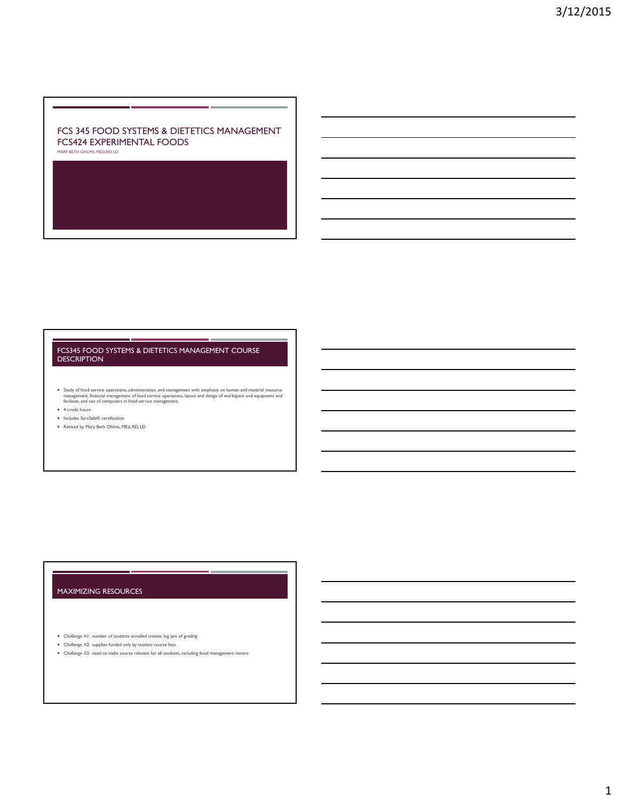# FCS 345 FOOD SYSTEMS & DIETETICS MANAGEMENT FCS424 EXPERIMENTAL FOODS

MARY BETH OHLMS, MED, RD, LD

#### FCS345 FOOD SYSTEMS & DIETETICS MANAGEMENT COURSE DESCRIPTION

Dudy of food service operations, administration, and management with emphasis on human and material resource<br>management, financial management of food service operations, layout and design of workspace and equipment and<br>fac

- **4** credit hours
- Includes ServSafe<sup>®</sup> certification
- Revised by Mary Beth Ohlms, MEd, RD, LD

## MAXIMIZING RESOURCES

Challenge #1: number of students enrolled creates log jam of grading

- Challenge #2: supplies funded only by student course fees
- Challenge #3: need to make course relevant for all students, including food management minors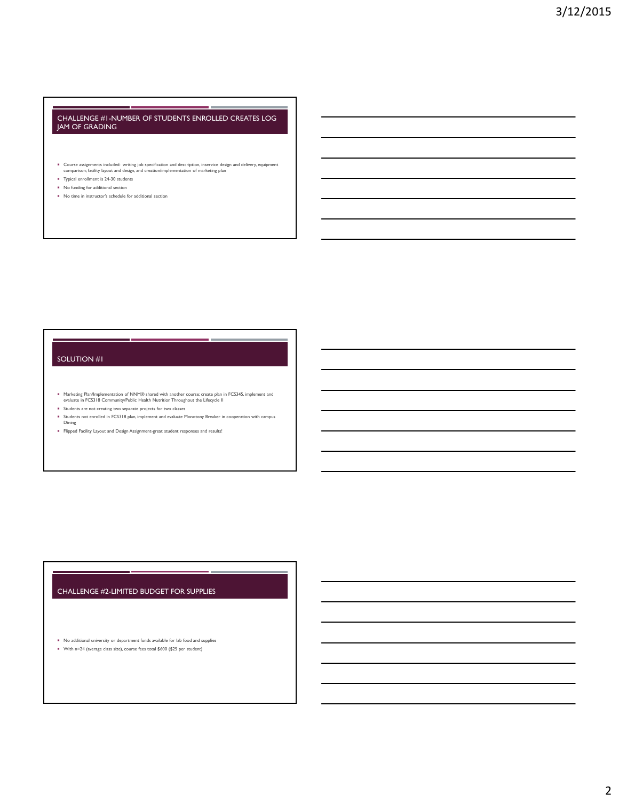#### CHALLENGE #1-NUMBER OF STUDENTS ENROLLED CREATES LOG JAM OF GRADING

- Course assignments included: writing job specification and description, inservice design and delivery, equipment comparison; facility layout and design, and creation/implementation of marketing plan
- **Typical enrollment is 24-30 students**
- No funding for additional section
- No time in instructor's schedule for additional section

#### SOLUTION #1

- Marketing Plan/Implementation of NNM® shared with another course; create plan in FCS345, implement and<br>evaluate in FCS318 Community/Public Health Nutrition Throughout the Lifecycle II
- Students are not creating two separate projects for two classes
- Students not enrolled in FCS318 plan, implement and evaluate Monotony Breaker in cooperation with campus<br>Dining
- Flipped Facility Layout and Design Assignment-great student responses and results!

# CHALLENGE #2-LIMITED BUDGET FOR SUPPLIES

 No additional university or department funds available for lab food and supplies With n=24 (average class size), course fees total \$600 (\$25 per student)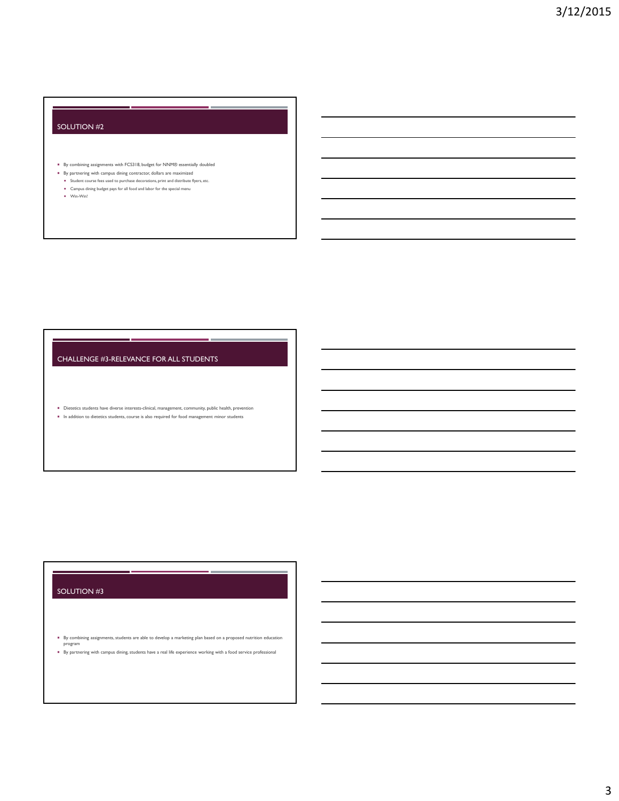## SOLUTION #2

- By combining assignments with FCS318, budget for NNM® essentially doubled
- By partnering with campus dining contractor, dollars are maximized
- $\bullet$  Student course fees used to purchase decorations, print and distribute flyers, etc. Campus dining budget pays for all food and labor for the special menu
- Win-Win!

## CHALLENGE #3-RELEVANCE FOR ALL STUDENTS

 Dietetics students have diverse interests-clinical, management, community, public health, prevention  $\blacksquare$  In addition to dietetics students, course is also required for food management minor students

# SOLUTION #3

- By combining assignments, students are able to develop a marketing plan based on a proposed nutrition education program
- By partnering with campus dining, students have a real life experience working with a food service professional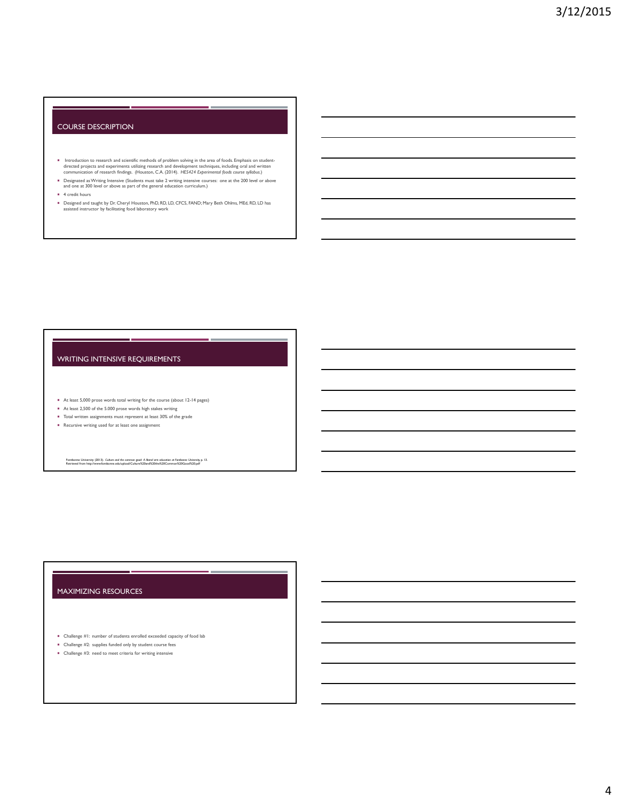#### COURSE DESCRIPTION

- Introduction to research and scientific methods of problem solving in the area of foods. Emphasis on student-<br>directed projects and experiments utilizing research and development techniques, including oral and written<br>comm
- Designated as Writing Intensive (Students must take 2 writing intensive courses: one at the 200 level or above and one at 300 level or above as part of the general education curriculum.)
- $4$  credit hours
- Designed and taught by Dr. Cheryl Houston, PhD, RD, LD, CFCS, FAND; Mary Beth Ohlms, MEd, RD, LD has assisted instructor by facilitating food laboratory work

### WRITING INTENSIVE REQUIREMENTS

- At least 5,000 prose words total writing for the course (about 12-14 pages)
- At least 2,500 of the 5.000 prose words high stakes writing
- Total written assignments must represent at least 30% of the grade
- **Recursive writing used for at least one assignment**

Fontbonne University (2013). *Culture and the common good: A liberal arts education at Fontbonne University,* p. 13.<br>Retrieved from http://www.fontbonne.edu/upload/Culture%20and%20the%20Common%20Good%20.pdf

## MAXIMIZING RESOURCES

- Challenge #1: number of students enrolled exceeded capacity of food lab
- Challenge #2: supplies funded only by student course fees
- Challenge #3: need to meet criteria for writing intensive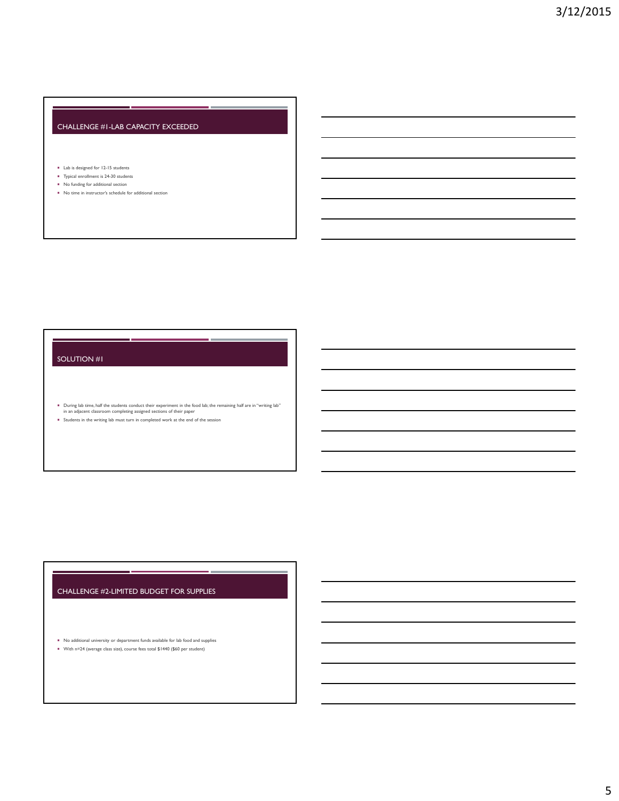# CHALLENGE #1-LAB CAPACITY EXCEEDED

#### Lab is designed for 12-15 students

- Typical enrollment is 24-30 students
- No funding for additional section
- No time in instructor's schedule for additional section

## SOLUTION #1

During lab time, half the students conduct their experiment in the food lab; the remaining half are in "writing lab" in an adjacent classroom completing assigned sections of their paper

Students in the writing lab must turn in completed work at the end of the session

# CHALLENGE #2-LIMITED BUDGET FOR SUPPLIES

No additional university or department funds available for lab food and supplies

With n=24 (average class size), course fees total \$1440 (\$60 per student)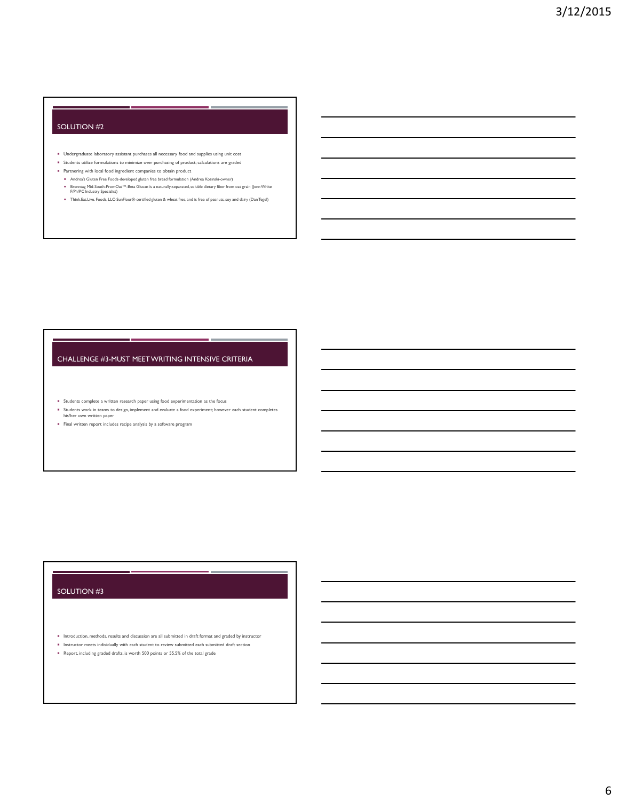### SOLUTION #2

- Undergraduate laboratory assistant purchases all necessary food and supplies using unit cost
- Students utilize formulations to minimize over purchasing of product; calculations are graded
- Partnering with local food ingredient companies to obtain product
- Andrea's Gluten Free Foods-developed gluten free bread formulation (Andrea Kosinski-owner)
- Brenntag Mid-South-PromOat™-Beta Glucan is a naturally-separated, soluble dietary fiber from oat grain (JennWhite F/Ph/PC Industry Specialist) Think.Eat.Live. Foods, LLC-SunFlour®-certified gluten & wheat free, and is free of peanuts, soy and dairy (Dan Tegel)

## CHALLENGE #3-MUST MEET WRITING INTENSIVE CRITERIA

Students complete a written research paper using food experimentation as the focus

- Students work in teams to design, implement and evaluate a food experiment; however each student completes his/her own written paper
- Final written report includes recipe analysis by a software program

## SOLUTION #3

- Introduction, methods, results and discussion are all submitted in draft format and graded by instructor **Instructor meets individually with each student to review submitted each submitted draft section**
-